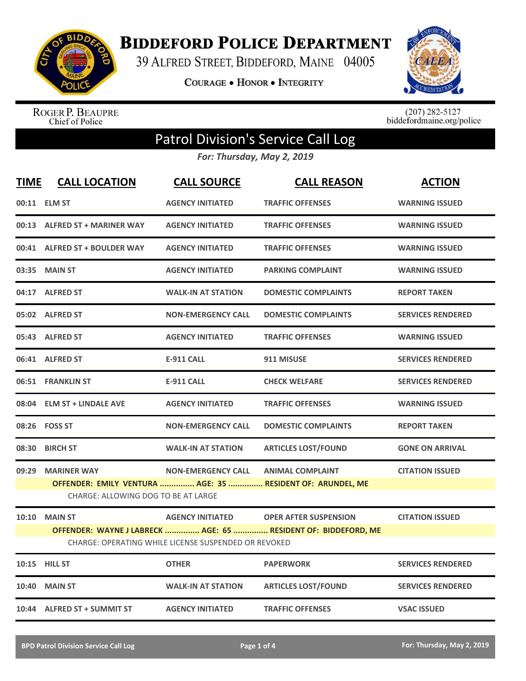

**BIDDEFORD POLICE DEPARTMENT** 

39 ALFRED STREET, BIDDEFORD, MAINE 04005

**COURAGE . HONOR . INTEGRITY** 



ROGER P. BEAUPRE<br>Chief of Police

 $(207)$  282-5127<br>biddefordmaine.org/police

## Patrol Division's Service Call Log

*For: Thursday, May 2, 2019*

| <b>TIME</b> | <b>CALL LOCATION</b>                                      | <b>CALL SOURCE</b>                                                              | <b>CALL REASON</b>                                                                             | <b>ACTION</b>            |
|-------------|-----------------------------------------------------------|---------------------------------------------------------------------------------|------------------------------------------------------------------------------------------------|--------------------------|
|             | 00:11 ELM ST                                              | <b>AGENCY INITIATED</b>                                                         | <b>TRAFFIC OFFENSES</b>                                                                        | <b>WARNING ISSUED</b>    |
|             | 00:13 ALFRED ST + MARINER WAY                             | <b>AGENCY INITIATED</b>                                                         | <b>TRAFFIC OFFENSES</b>                                                                        | <b>WARNING ISSUED</b>    |
|             | 00:41 ALFRED ST + BOULDER WAY                             | <b>AGENCY INITIATED</b>                                                         | <b>TRAFFIC OFFENSES</b>                                                                        | <b>WARNING ISSUED</b>    |
|             | 03:35 MAIN ST                                             | <b>AGENCY INITIATED</b>                                                         | <b>PARKING COMPLAINT</b>                                                                       | <b>WARNING ISSUED</b>    |
|             | 04:17 ALFRED ST                                           | <b>WALK-IN AT STATION</b>                                                       | <b>DOMESTIC COMPLAINTS</b>                                                                     | <b>REPORT TAKEN</b>      |
|             | 05:02 ALFRED ST                                           | <b>NON-EMERGENCY CALL</b>                                                       | <b>DOMESTIC COMPLAINTS</b>                                                                     | <b>SERVICES RENDERED</b> |
|             | 05:43 ALFRED ST                                           | <b>AGENCY INITIATED</b>                                                         | <b>TRAFFIC OFFENSES</b>                                                                        | <b>WARNING ISSUED</b>    |
|             | 06:41 ALFRED ST                                           | <b>E-911 CALL</b>                                                               | 911 MISUSE                                                                                     | <b>SERVICES RENDERED</b> |
|             | 06:51 FRANKLIN ST                                         | <b>E-911 CALL</b>                                                               | <b>CHECK WELFARE</b>                                                                           | <b>SERVICES RENDERED</b> |
|             | 08:04 ELM ST + LINDALE AVE                                | <b>AGENCY INITIATED</b>                                                         | <b>TRAFFIC OFFENSES</b>                                                                        | <b>WARNING ISSUED</b>    |
|             | 08:26 FOSS ST                                             | <b>NON-EMERGENCY CALL</b>                                                       | <b>DOMESTIC COMPLAINTS</b>                                                                     | <b>REPORT TAKEN</b>      |
| 08:30       | <b>BIRCH ST</b>                                           | <b>WALK-IN AT STATION</b>                                                       | <b>ARTICLES LOST/FOUND</b>                                                                     | <b>GONE ON ARRIVAL</b>   |
| 09:29       | <b>MARINER WAY</b><br>CHARGE: ALLOWING DOG TO BE AT LARGE | <b>NON-EMERGENCY CALL</b>                                                       | <b>ANIMAL COMPLAINT</b><br>OFFENDER: EMILY VENTURA  AGE: 35  RESIDENT OF: ARUNDEL, ME          | <b>CITATION ISSUED</b>   |
|             | <b>10:10 MAIN ST</b>                                      | <b>AGENCY INITIATED</b><br>CHARGE: OPERATING WHILE LICENSE SUSPENDED OR REVOKED | <b>OPER AFTER SUSPENSION</b><br>OFFENDER: WAYNE J LABRECK  AGE: 65  RESIDENT OF: BIDDEFORD, ME | <b>CITATION ISSUED</b>   |
|             | 10:15 HILL ST                                             | <b>OTHER</b>                                                                    | <b>PAPERWORK</b>                                                                               | <b>SERVICES RENDERED</b> |
| 10:40       | <b>MAIN ST</b>                                            | <b>WALK-IN AT STATION</b>                                                       | <b>ARTICLES LOST/FOUND</b>                                                                     | <b>SERVICES RENDERED</b> |
|             | 10:44 ALFRED ST + SUMMIT ST                               | <b>AGENCY INITIATED</b>                                                         | <b>TRAFFIC OFFENSES</b>                                                                        | <b>VSAC ISSUED</b>       |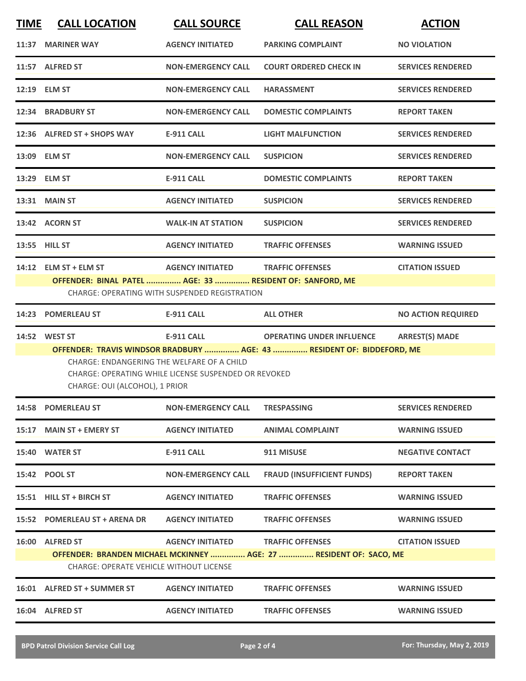| <b>TIME</b> | <b>CALL LOCATION</b>                                                                                                                                                                                           | <b>CALL SOURCE</b>                                   | <b>CALL REASON</b>                                                 | <b>ACTION</b>             |  |
|-------------|----------------------------------------------------------------------------------------------------------------------------------------------------------------------------------------------------------------|------------------------------------------------------|--------------------------------------------------------------------|---------------------------|--|
|             | 11:37 MARINER WAY                                                                                                                                                                                              | <b>AGENCY INITIATED</b>                              | <b>PARKING COMPLAINT</b>                                           | <b>NO VIOLATION</b>       |  |
|             | 11:57 ALFRED ST                                                                                                                                                                                                | <b>NON-EMERGENCY CALL</b>                            | <b>COURT ORDERED CHECK IN</b>                                      | <b>SERVICES RENDERED</b>  |  |
|             | 12:19 ELM ST                                                                                                                                                                                                   | <b>NON-EMERGENCY CALL</b>                            | <b>HARASSMENT</b>                                                  | <b>SERVICES RENDERED</b>  |  |
|             | 12:34 BRADBURY ST                                                                                                                                                                                              | <b>NON-EMERGENCY CALL</b>                            | <b>DOMESTIC COMPLAINTS</b>                                         | <b>REPORT TAKEN</b>       |  |
|             | 12:36 ALFRED ST + SHOPS WAY                                                                                                                                                                                    | <b>E-911 CALL</b>                                    | <b>LIGHT MALFUNCTION</b>                                           | <b>SERVICES RENDERED</b>  |  |
|             | 13:09 ELM ST                                                                                                                                                                                                   | <b>NON-EMERGENCY CALL</b>                            | <b>SUSPICION</b>                                                   | <b>SERVICES RENDERED</b>  |  |
|             | 13:29 ELM ST                                                                                                                                                                                                   | <b>E-911 CALL</b>                                    | <b>DOMESTIC COMPLAINTS</b>                                         | <b>REPORT TAKEN</b>       |  |
|             | 13:31 MAIN ST                                                                                                                                                                                                  | <b>AGENCY INITIATED</b>                              | <b>SUSPICION</b>                                                   | <b>SERVICES RENDERED</b>  |  |
|             | 13:42 ACORN ST                                                                                                                                                                                                 | <b>WALK-IN AT STATION</b>                            | <b>SUSPICION</b>                                                   | <b>SERVICES RENDERED</b>  |  |
|             | 13:55 HILL ST                                                                                                                                                                                                  | <b>AGENCY INITIATED</b>                              | <b>TRAFFIC OFFENSES</b>                                            | <b>WARNING ISSUED</b>     |  |
|             | 14:12 ELM ST + ELM ST                                                                                                                                                                                          | <b>AGENCY INITIATED</b>                              | <b>TRAFFIC OFFENSES</b>                                            | <b>CITATION ISSUED</b>    |  |
|             | OFFENDER: BINAL PATEL  AGE: 33  RESIDENT OF: SANFORD, ME                                                                                                                                                       | <b>CHARGE: OPERATING WITH SUSPENDED REGISTRATION</b> |                                                                    |                           |  |
|             | 14:23 POMERLEAU ST                                                                                                                                                                                             | <b>E-911 CALL</b>                                    | <b>ALL OTHER</b>                                                   | <b>NO ACTION REQUIRED</b> |  |
|             | 14:52 WEST ST                                                                                                                                                                                                  | <b>E-911 CALL</b>                                    | <b>OPERATING UNDER INFLUENCE</b>                                   | <b>ARREST(S) MADE</b>     |  |
|             | OFFENDER: TRAVIS WINDSOR BRADBURY  AGE: 43  RESIDENT OF: BIDDEFORD, ME<br>CHARGE: ENDANGERING THE WELFARE OF A CHILD<br>CHARGE: OPERATING WHILE LICENSE SUSPENDED OR REVOKED<br>CHARGE: OUI (ALCOHOL), 1 PRIOR |                                                      |                                                                    |                           |  |
|             | 14:58 POMERLEAU ST                                                                                                                                                                                             | <b>NON-EMERGENCY CALL</b>                            | <b>TRESPASSING</b>                                                 | <b>SERVICES RENDERED</b>  |  |
|             | 15:17 MAIN ST + EMERY ST                                                                                                                                                                                       | <b>AGENCY INITIATED</b>                              | <b>ANIMAL COMPLAINT</b>                                            | <b>WARNING ISSUED</b>     |  |
|             | 15:40 WATER ST                                                                                                                                                                                                 | E-911 CALL                                           | 911 MISUSE                                                         | <b>NEGATIVE CONTACT</b>   |  |
|             | 15:42 POOL ST                                                                                                                                                                                                  | <b>NON-EMERGENCY CALL</b>                            | <b>FRAUD (INSUFFICIENT FUNDS)</b>                                  | <b>REPORT TAKEN</b>       |  |
|             | 15:51 HILL ST + BIRCH ST                                                                                                                                                                                       | <b>AGENCY INITIATED</b>                              | <b>TRAFFIC OFFENSES</b>                                            | <b>WARNING ISSUED</b>     |  |
|             | 15:52 POMERLEAU ST + ARENA DR                                                                                                                                                                                  | <b>AGENCY INITIATED</b>                              | <b>TRAFFIC OFFENSES</b>                                            | <b>WARNING ISSUED</b>     |  |
|             | 16:00 ALFRED ST                                                                                                                                                                                                | <b>AGENCY INITIATED</b>                              | <b>TRAFFIC OFFENSES</b>                                            | <b>CITATION ISSUED</b>    |  |
|             | <b>CHARGE: OPERATE VEHICLE WITHOUT LICENSE</b>                                                                                                                                                                 |                                                      | OFFENDER: BRANDEN MICHAEL MCKINNEY  AGE: 27  RESIDENT OF: SACO, ME |                           |  |
|             | 16:01 ALFRED ST + SUMMER ST                                                                                                                                                                                    | <b>AGENCY INITIATED</b>                              | <b>TRAFFIC OFFENSES</b>                                            | <b>WARNING ISSUED</b>     |  |
|             | 16:04 ALFRED ST                                                                                                                                                                                                | <b>AGENCY INITIATED</b>                              | <b>TRAFFIC OFFENSES</b>                                            | <b>WARNING ISSUED</b>     |  |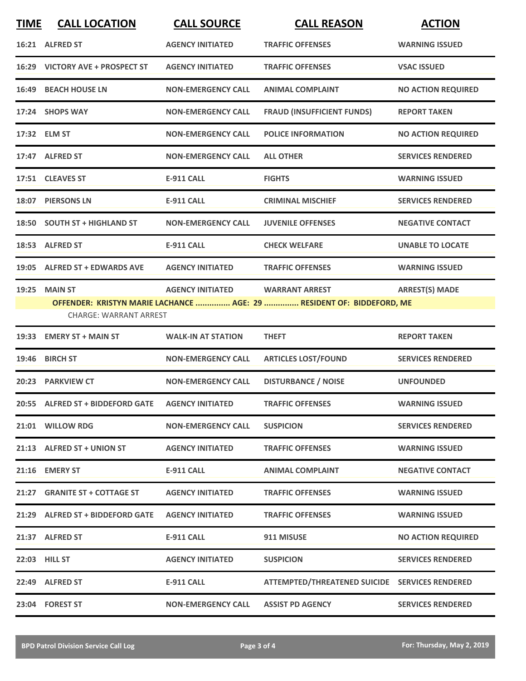| <b>TIME</b> | <b>CALL LOCATION</b>                           | <b>CALL SOURCE</b>        | <b>CALL REASON</b>                                                                             | <b>ACTION</b>             |
|-------------|------------------------------------------------|---------------------------|------------------------------------------------------------------------------------------------|---------------------------|
|             | 16:21 ALFRED ST                                | <b>AGENCY INITIATED</b>   | <b>TRAFFIC OFFENSES</b>                                                                        | <b>WARNING ISSUED</b>     |
|             | 16:29 VICTORY AVE + PROSPECT ST                | <b>AGENCY INITIATED</b>   | <b>TRAFFIC OFFENSES</b>                                                                        | <b>VSAC ISSUED</b>        |
|             | <b>16:49 BEACH HOUSE LN</b>                    | <b>NON-EMERGENCY CALL</b> | <b>ANIMAL COMPLAINT</b>                                                                        | <b>NO ACTION REQUIRED</b> |
|             | 17:24 SHOPS WAY                                | <b>NON-EMERGENCY CALL</b> | <b>FRAUD (INSUFFICIENT FUNDS)</b>                                                              | <b>REPORT TAKEN</b>       |
|             | 17:32 ELM ST                                   | <b>NON-EMERGENCY CALL</b> | <b>POLICE INFORMATION</b>                                                                      | <b>NO ACTION REQUIRED</b> |
|             | 17:47 ALFRED ST                                | <b>NON-EMERGENCY CALL</b> | <b>ALL OTHER</b>                                                                               | <b>SERVICES RENDERED</b>  |
|             | 17:51 CLEAVES ST                               | <b>E-911 CALL</b>         | <b>FIGHTS</b>                                                                                  | <b>WARNING ISSUED</b>     |
|             | 18:07 PIERSONS LN                              | <b>E-911 CALL</b>         | <b>CRIMINAL MISCHIEF</b>                                                                       | <b>SERVICES RENDERED</b>  |
|             | 18:50 SOUTH ST + HIGHLAND ST                   | <b>NON-EMERGENCY CALL</b> | <b>JUVENILE OFFENSES</b>                                                                       | <b>NEGATIVE CONTACT</b>   |
|             | 18:53 ALFRED ST                                | <b>E-911 CALL</b>         | <b>CHECK WELFARE</b>                                                                           | <b>UNABLE TO LOCATE</b>   |
|             | 19:05 ALFRED ST + EDWARDS AVE                  | <b>AGENCY INITIATED</b>   | <b>TRAFFIC OFFENSES</b>                                                                        | <b>WARNING ISSUED</b>     |
|             | <b>19:25 MAIN ST</b><br>CHARGE: WARRANT ARREST | <b>AGENCY INITIATED</b>   | <b>WARRANT ARREST</b><br>OFFENDER: KRISTYN MARIE LACHANCE  AGE: 29  RESIDENT OF: BIDDEFORD, ME | <b>ARREST(S) MADE</b>     |
| 19:33       | <b>EMERY ST + MAIN ST</b>                      | <b>WALK-IN AT STATION</b> | <b>THEFT</b>                                                                                   | <b>REPORT TAKEN</b>       |
|             | 19:46 BIRCH ST                                 | <b>NON-EMERGENCY CALL</b> | <b>ARTICLES LOST/FOUND</b>                                                                     | <b>SERVICES RENDERED</b>  |
|             | 20:23 PARKVIEW CT                              | <b>NON-EMERGENCY CALL</b> | <b>DISTURBANCE / NOISE</b>                                                                     | <b>UNFOUNDED</b>          |
|             | 20:55 ALFRED ST + BIDDEFORD GATE               | <b>AGENCY INITIATED</b>   | <b>TRAFFIC OFFENSES</b>                                                                        | <b>WARNING ISSUED</b>     |
|             | 21:01 WILLOW RDG                               | <b>NON-EMERGENCY CALL</b> | <b>SUSPICION</b>                                                                               | <b>SERVICES RENDERED</b>  |
|             | 21:13 ALFRED ST + UNION ST                     | <b>AGENCY INITIATED</b>   | <b>TRAFFIC OFFENSES</b>                                                                        | <b>WARNING ISSUED</b>     |
|             | 21:16 EMERY ST                                 | E-911 CALL                | <b>ANIMAL COMPLAINT</b>                                                                        | <b>NEGATIVE CONTACT</b>   |
|             | 21:27 GRANITE ST + COTTAGE ST                  | <b>AGENCY INITIATED</b>   | <b>TRAFFIC OFFENSES</b>                                                                        | <b>WARNING ISSUED</b>     |
|             | 21:29 ALFRED ST + BIDDEFORD GATE               | <b>AGENCY INITIATED</b>   | <b>TRAFFIC OFFENSES</b>                                                                        | <b>WARNING ISSUED</b>     |
|             | 21:37 ALFRED ST                                | <b>E-911 CALL</b>         | 911 MISUSE                                                                                     | <b>NO ACTION REQUIRED</b> |
|             | <b>22:03 HILL ST</b>                           | <b>AGENCY INITIATED</b>   | <b>SUSPICION</b>                                                                               | <b>SERVICES RENDERED</b>  |
|             | 22:49 ALFRED ST                                | <b>E-911 CALL</b>         | ATTEMPTED/THREATENED SUICIDE SERVICES RENDERED                                                 |                           |
|             | 23:04 FOREST ST                                | <b>NON-EMERGENCY CALL</b> | <b>ASSIST PD AGENCY</b>                                                                        | <b>SERVICES RENDERED</b>  |